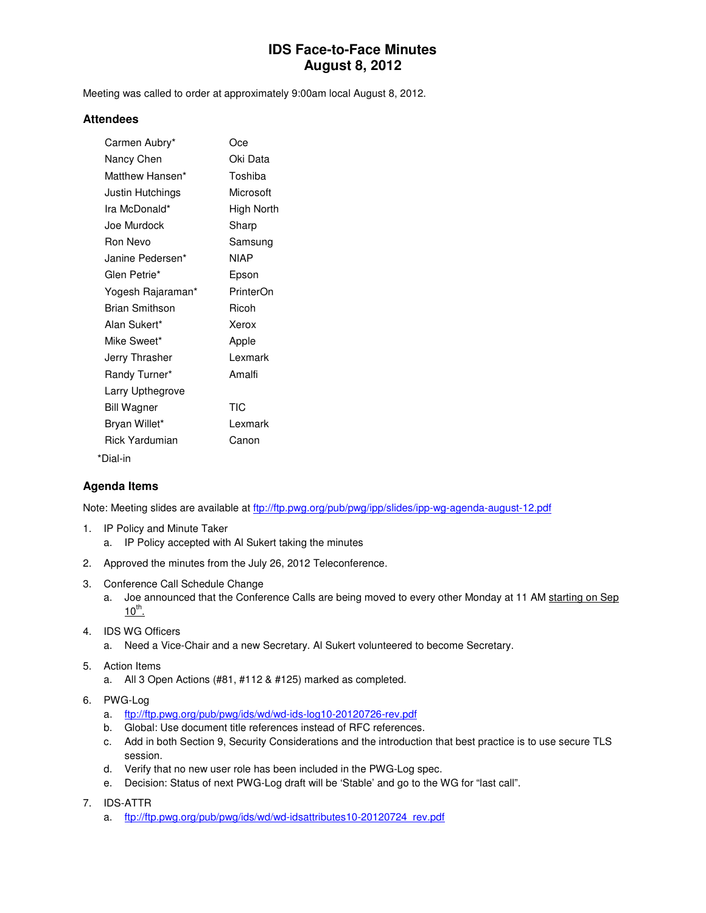# **IDS Face-to-Face Minutes August 8, 2012**

Meeting was called to order at approximately 9:00am local August 8, 2012.

#### **Attendees**

| Carmen Aubry*         | Oce        |
|-----------------------|------------|
| Nancy Chen            | Oki Data   |
| Matthew Hansen*       | Toshiba    |
| Justin Hutchings      | Microsoft  |
| Ira McDonald*         | High North |
| Joe Murdock           | Sharp      |
| <b>Ron Nevo</b>       | Samsung    |
| Janine Pedersen*      | NIAP       |
| Glen Petrie*          | Epson      |
| Yogesh Rajaraman*     | PrinterOn  |
| <b>Brian Smithson</b> | Ricoh      |
| Alan Sukert*          | Xerox      |
| Mike Sweet*           | Apple      |
| Jerry Thrasher        | I exmark   |
| Randy Turner*         | Amalfi     |
| Larry Upthegrove      |            |
| <b>Bill Wagner</b>    | <b>TIC</b> |
| Bryan Willet*         | I exmark   |
| Rick Yardumian        | Canon      |
| *Dial-in              |            |

### **Agenda Items**

Note: Meeting slides are available at ftp://ftp.pwg.org/pub/pwg/ipp/slides/ipp-wg-agenda-august-12.pdf

- 1. IP Policy and Minute Taker
	- a. IP Policy accepted with Al Sukert taking the minutes
- 2. Approved the minutes from the July 26, 2012 Teleconference.
- 3. Conference Call Schedule Change
	- a. Joe announced that the Conference Calls are being moved to every other Monday at 11 AM starting on Sep  $10^{th}$ .
- 4. IDS WG Officers
	- a. Need a Vice-Chair and a new Secretary. Al Sukert volunteered to become Secretary.
- 5. Action Items
	- a. All 3 Open Actions (#81, #112 & #125) marked as completed.
- 6. PWG-Log
	- a. ftp://ftp.pwg.org/pub/pwg/ids/wd/wd-ids-log10-20120726-rev.pdf
	- b. Global: Use document title references instead of RFC references.
	- c. Add in both Section 9, Security Considerations and the introduction that best practice is to use secure TLS session.
	- d. Verify that no new user role has been included in the PWG-Log spec.
	- e. Decision: Status of next PWG-Log draft will be 'Stable' and go to the WG for "last call".
- 7. IDS-ATTR
	- a. ftp://ftp.pwg.org/pub/pwg/ids/wd/wd-idsattributes10-20120724 rev.pdf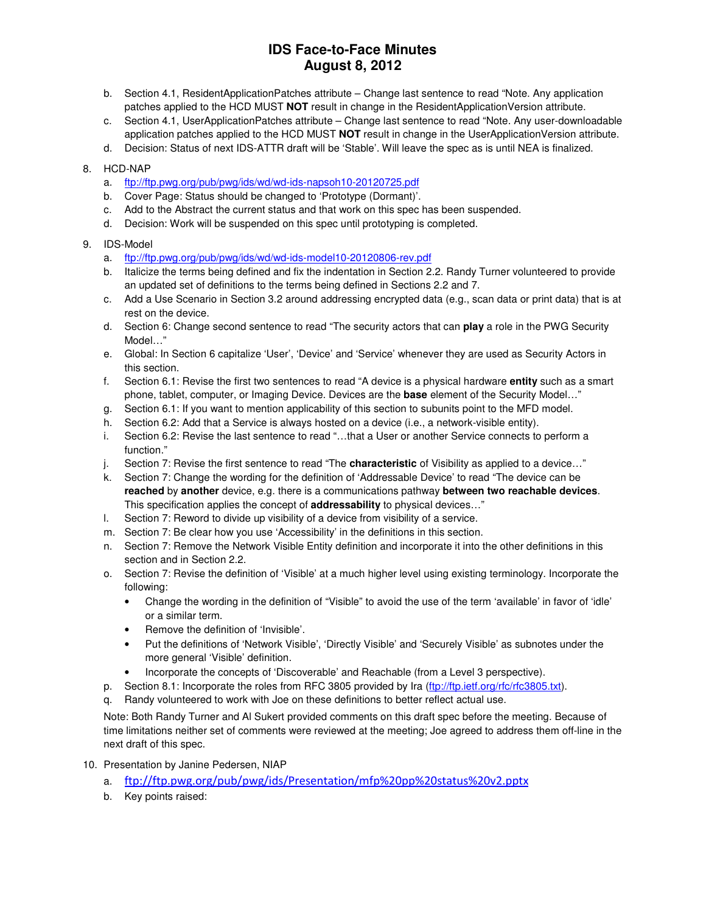# **IDS Face-to-Face Minutes August 8, 2012**

- b. Section 4.1, ResidentApplicationPatches attribute Change last sentence to read "Note. Any application patches applied to the HCD MUST **NOT** result in change in the ResidentApplicationVersion attribute.
- c. Section 4.1, UserApplicationPatches attribute Change last sentence to read "Note. Any user-downloadable application patches applied to the HCD MUST **NOT** result in change in the UserApplicationVersion attribute.
- d. Decision: Status of next IDS-ATTR draft will be 'Stable'. Will leave the spec as is until NEA is finalized.
- 8. HCD-NAP
	- a. ftp://ftp.pwg.org/pub/pwg/ids/wd/wd-ids-napsoh10-20120725.pdf
	- b. Cover Page: Status should be changed to 'Prototype (Dormant)'.
	- c. Add to the Abstract the current status and that work on this spec has been suspended.
	- d. Decision: Work will be suspended on this spec until prototyping is completed.
- 9. IDS-Model
	- a. ftp://ftp.pwg.org/pub/pwg/ids/wd/wd-ids-model10-20120806-rev.pdf
	- b. Italicize the terms being defined and fix the indentation in Section 2.2. Randy Turner volunteered to provide an updated set of definitions to the terms being defined in Sections 2.2 and 7.
	- c. Add a Use Scenario in Section 3.2 around addressing encrypted data (e.g., scan data or print data) that is at rest on the device.
	- d. Section 6: Change second sentence to read "The security actors that can **play** a role in the PWG Security Model…"
	- e. Global: In Section 6 capitalize 'User', 'Device' and 'Service' whenever they are used as Security Actors in this section.
	- f. Section 6.1: Revise the first two sentences to read "A device is a physical hardware **entity** such as a smart phone, tablet, computer, or Imaging Device. Devices are the **base** element of the Security Model…"
	- g. Section 6.1: If you want to mention applicability of this section to subunits point to the MFD model.
	- h. Section 6.2: Add that a Service is always hosted on a device (i.e., a network-visible entity).
	- i. Section 6.2: Revise the last sentence to read "…that a User or another Service connects to perform a function."
	- j. Section 7: Revise the first sentence to read "The **characteristic** of Visibility as applied to a device…"
	- k. Section 7: Change the wording for the definition of 'Addressable Device' to read "The device can be **reached** by **another** device, e.g. there is a communications pathway **between two reachable devices**. This specification applies the concept of **addressability** to physical devices…"
	- l. Section 7: Reword to divide up visibility of a device from visibility of a service.
	- m. Section 7: Be clear how you use 'Accessibility' in the definitions in this section.
	- n. Section 7: Remove the Network Visible Entity definition and incorporate it into the other definitions in this section and in Section 2.2.
	- o. Section 7: Revise the definition of 'Visible' at a much higher level using existing terminology. Incorporate the following:
		- Change the wording in the definition of "Visible" to avoid the use of the term 'available' in favor of 'idle' or a similar term.
		- Remove the definition of 'Invisible'.
		- Put the definitions of 'Network Visible', 'Directly Visible' and 'Securely Visible' as subnotes under the more general 'Visible' definition.
		- Incorporate the concepts of 'Discoverable' and Reachable (from a Level 3 perspective).
	- p. Section 8.1: Incorporate the roles from RFC 3805 provided by Ira (ftp://ftp.ietf.org/rfc/rfc3805.txt).
	- q. Randy volunteered to work with Joe on these definitions to better reflect actual use.

Note: Both Randy Turner and Al Sukert provided comments on this draft spec before the meeting. Because of time limitations neither set of comments were reviewed at the meeting; Joe agreed to address them off-line in the next draft of this spec.

- 10. Presentation by Janine Pedersen, NIAP
	- a. ftp://ftp.pwg.org/pub/pwg/ids/Presentation/mfp%20pp%20status%20v2.pptx
	- b. Key points raised: